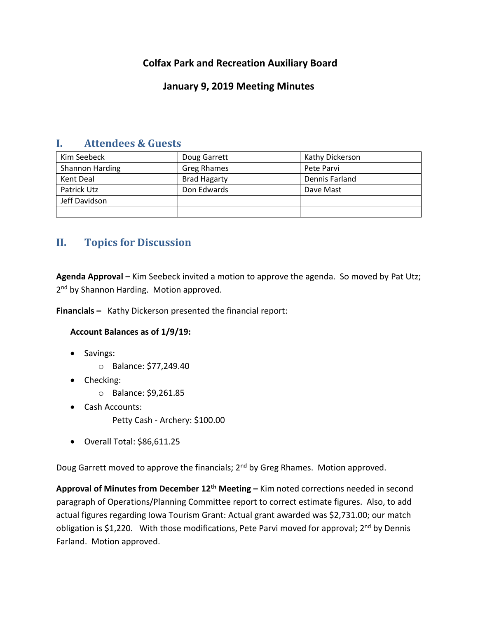# **Colfax Park and Recreation Auxiliary Board**

## **January 9, 2019 Meeting Minutes**

## **I. Attendees & Guests**

| Kim Seebeck     | Doug Garrett        | Kathy Dickerson |
|-----------------|---------------------|-----------------|
| Shannon Harding | <b>Greg Rhames</b>  | Pete Parvi      |
| Kent Deal       | <b>Brad Hagarty</b> | Dennis Farland  |
| Patrick Utz     | Don Edwards         | Dave Mast       |
| Jeff Davidson   |                     |                 |
|                 |                     |                 |

# **II. Topics for Discussion**

**Agenda Approval –** Kim Seebeck invited a motion to approve the agenda. So moved by Pat Utz; 2<sup>nd</sup> by Shannon Harding. Motion approved.

**Financials –** Kathy Dickerson presented the financial report:

## **Account Balances as of 1/9/19:**

- Savings:
	- o Balance: \$77,249.40
- Checking:
	- o Balance: \$9,261.85
- Cash Accounts:
	- Petty Cash Archery: \$100.00
- Overall Total: \$86,611.25

Doug Garrett moved to approve the financials; 2<sup>nd</sup> by Greg Rhames. Motion approved.

**Approval of Minutes from December 12th Meeting –** Kim noted corrections needed in second paragraph of Operations/Planning Committee report to correct estimate figures. Also, to add actual figures regarding Iowa Tourism Grant: Actual grant awarded was \$2,731.00; our match obligation is \$1,220. With those modifications, Pete Parvi moved for approval; 2<sup>nd</sup> by Dennis Farland. Motion approved.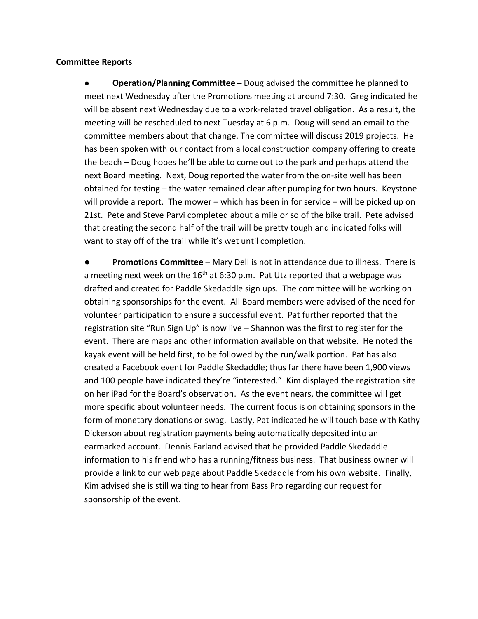### **Committee Reports**

● **Operation/Planning Committee –** Doug advised the committee he planned to meet next Wednesday after the Promotions meeting at around 7:30. Greg indicated he will be absent next Wednesday due to a work-related travel obligation. As a result, the meeting will be rescheduled to next Tuesday at 6 p.m. Doug will send an email to the committee members about that change. The committee will discuss 2019 projects. He has been spoken with our contact from a local construction company offering to create the beach – Doug hopes he'll be able to come out to the park and perhaps attend the next Board meeting. Next, Doug reported the water from the on-site well has been obtained for testing – the water remained clear after pumping for two hours. Keystone will provide a report. The mower – which has been in for service – will be picked up on 21st. Pete and Steve Parvi completed about a mile or so of the bike trail. Pete advised that creating the second half of the trail will be pretty tough and indicated folks will want to stay off of the trail while it's wet until completion.

**Promotions Committee** – Mary Dell is not in attendance due to illness. There is a meeting next week on the  $16<sup>th</sup>$  at 6:30 p.m. Pat Utz reported that a webpage was drafted and created for Paddle Skedaddle sign ups. The committee will be working on obtaining sponsorships for the event. All Board members were advised of the need for volunteer participation to ensure a successful event. Pat further reported that the registration site "Run Sign Up" is now live – Shannon was the first to register for the event. There are maps and other information available on that website. He noted the kayak event will be held first, to be followed by the run/walk portion. Pat has also created a Facebook event for Paddle Skedaddle; thus far there have been 1,900 views and 100 people have indicated they're "interested." Kim displayed the registration site on her iPad for the Board's observation. As the event nears, the committee will get more specific about volunteer needs. The current focus is on obtaining sponsors in the form of monetary donations or swag. Lastly, Pat indicated he will touch base with Kathy Dickerson about registration payments being automatically deposited into an earmarked account. Dennis Farland advised that he provided Paddle Skedaddle information to his friend who has a running/fitness business. That business owner will provide a link to our web page about Paddle Skedaddle from his own website. Finally, Kim advised she is still waiting to hear from Bass Pro regarding our request for sponsorship of the event.